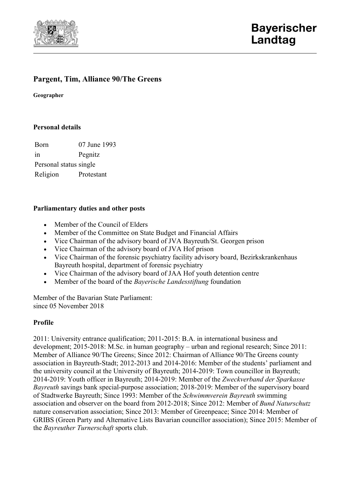

# **Pargent, Tim, Alliance 90/The Greens**

**Geographer**

#### **Personal details**

Born 07 June 1993 in Pegnitz Personal status single Religion Protestant

### **Parliamentary duties and other posts**

- Member of the Council of Elders
- Member of the Committee on State Budget and Financial Affairs
- Vice Chairman of the advisory board of JVA Bayreuth/St. Georgen prison
- Vice Chairman of the advisory board of JVA Hof prison
- Vice Chairman of the forensic psychiatry facility advisory board, Bezirkskrankenhaus Bayreuth hospital, department of forensic psychiatry
- Vice Chairman of the advisory board of JAA Hof youth detention centre
- Member of the board of the *Bayerische Landesstiftung* foundation

Member of the Bavarian State Parliament: since 05 November 2018

### **Profile**

2011: University entrance qualification; 2011-2015: B.A. in international business and development; 2015-2018: M.Sc. in human geography – urban and regional research; Since 2011: Member of Alliance 90/The Greens; Since 2012: Chairman of Alliance 90/The Greens county association in Bayreuth-Stadt; 2012-2013 and 2014-2016: Member of the students' parliament and the university council at the University of Bayreuth; 2014-2019: Town councillor in Bayreuth; 2014-2019: Youth officer in Bayreuth; 2014-2019: Member of the *Zweckverband der Sparkasse Bayreuth* savings bank special-purpose association; 2018-2019: Member of the supervisory board of Stadtwerke Bayreuth; Since 1993: Member of the *Schwimmverein Bayreuth* swimming association and observer on the board from 2012-2018; Since 2012: Member of *Bund Naturschutz* nature conservation association; Since 2013: Member of Greenpeace; Since 2014: Member of GRIBS (Green Party and Alternative Lists Bavarian councillor association); Since 2015: Member of the *Bayreuther Turnerschaft* sports club.